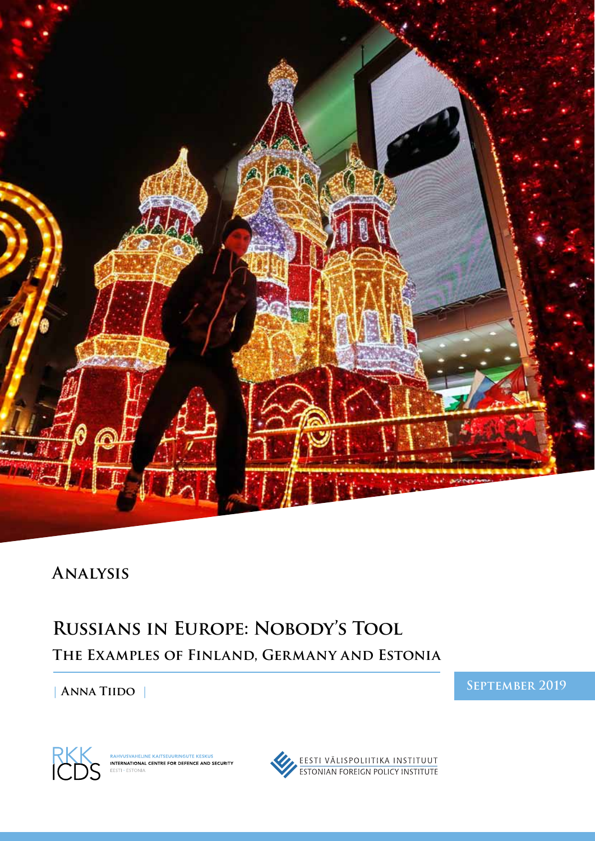

## **Analysis**

# **Russians in Europe: Nobody's Tool The Examples of Finland, Germany and Estonia**

**| Anna Tiido |**

**September 2019**



RAHVUSVAHELINE KAITSEUURINGUTE KESKUS<br>INTERNATIONAL CENTRE FOR DEFENCE AND SECURITY EESTI • ESTONIA

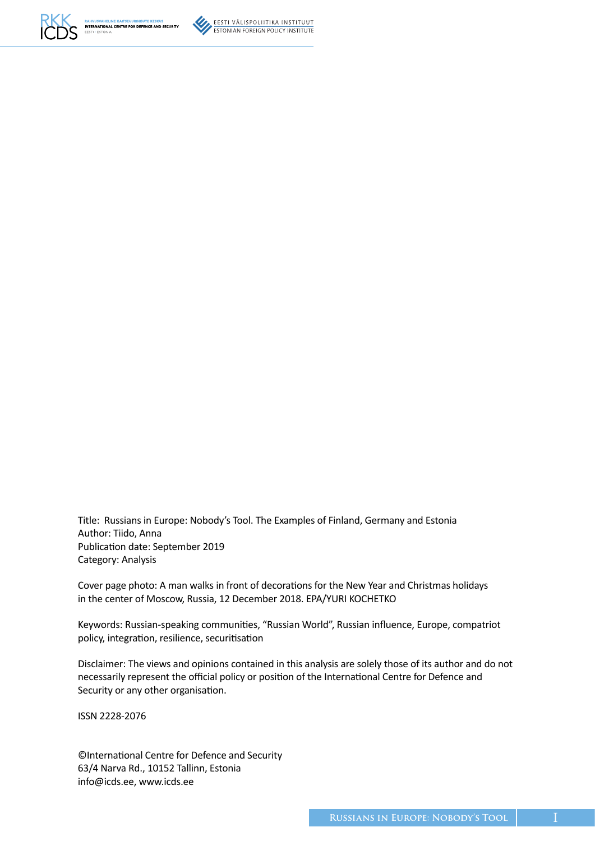

EESTI VÄLISPOLIITIKA INSTITUUT **ESTONIAN FOREIGN POLICY INSTITUTE** 

Title: Russians in Europe: Nobody's Tool. The Examples of Finland, Germany and Estonia Author: Tiido, Anna Publication date: September 2019 Category: Analysis

Cover page photo: A man walks in front of decorations for the New Year and Christmas holidays in the center of Moscow, Russia, 12 December 2018. EPA/YURI KOCHETKO

Keywords: Russian-speaking communities, "Russian World", Russian influence, Europe, compatriot policy, integration, resilience, securitisation

Disclaimer: The views and opinions contained in this analysis are solely those of its author and do not necessarily represent the official policy or position of the International Centre for Defence and Security or any other organisation.

ISSN 2228-2076

©International Centre for Defence and Security 63/4 Narva Rd., 10152 Tallinn, Estonia info@icds.ee, www.icds.ee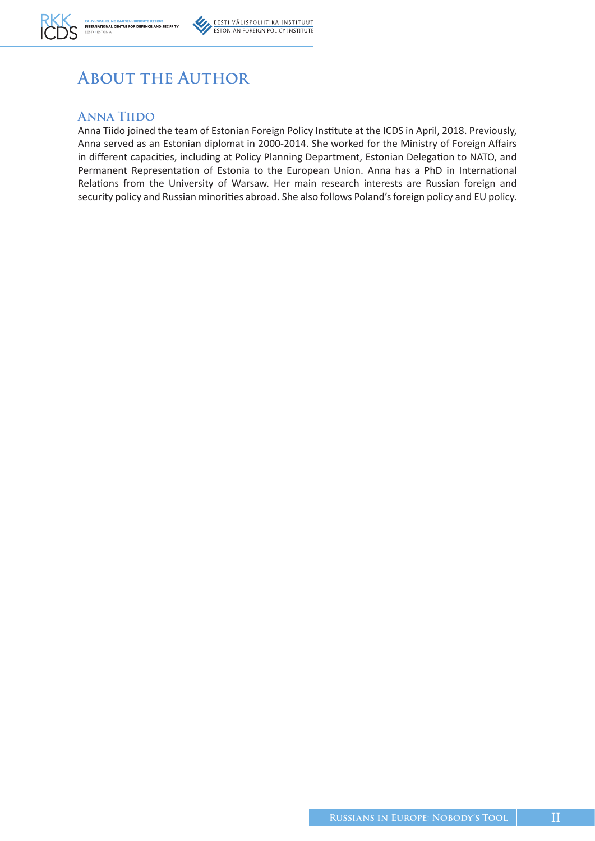

# **About the Author**

#### **Anna Tiido**

Anna Tiido joined the team of Estonian Foreign Policy Institute at the ICDS in April, 2018. Previously, Anna served as an Estonian diplomat in 2000-2014. She worked for the Ministry of Foreign Affairs in different capacities, including at Policy Planning Department, Estonian Delegation to NATO, and Permanent Representation of Estonia to the European Union. Anna has a PhD in International Relations from the University of Warsaw. Her main research interests are Russian foreign and security policy and Russian minorities abroad. She also follows Poland's foreign policy and EU policy.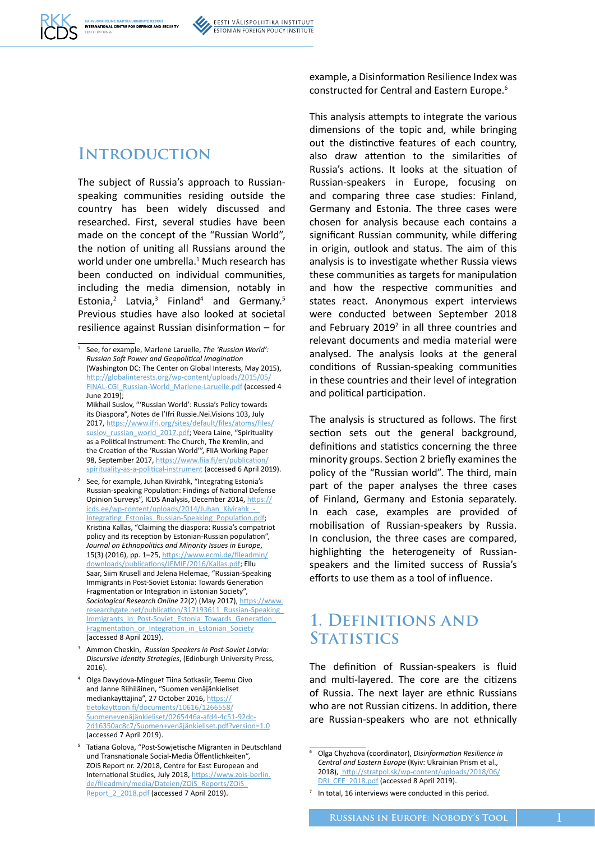### **Introduction**

The subject of Russia's approach to Russianspeaking communities residing outside the country has been widely discussed and researched. First, several studies have been made on the concept of the "Russian World", the notion of uniting all Russians around the world under one umbrella.<sup>1</sup> Much research has been conducted on individual communities, including the media dimension, notably in Estonia,<sup>2</sup> Latvia,<sup>3</sup> Finland<sup>4</sup> and Germany.<sup>5</sup> Previous studies have also looked at societal resilience against Russian disinformation – for

- <sup>3</sup> Ammon Cheskin, *Russian Speakers in Post-Soviet Latvia: Discursive Identity Strategies*, (Edinburgh University Press, 2016).
- <sup>4</sup> Olga Davydova-Minguet Tiina Sotkasiir, Teemu Oivo and Janne Riihiläinen, "Suomen venäjänkieliset mediankäyttäjinä", 27 October 2016, https:// tietokayttoon.fi/documents/10616/1266558/ Suomen+venäjänkieliset/0265446a-afd4-4c51-92dc-[2d16350ac8c7/Suomen+venäjänkieliset.pdf?version=1.0](https://tietokayttoon.fi/documents/10616/1266558/Suomen+ven�j�nkieliset/0265446a-afd4-4c51-92dc-2d16350ac8c7/Suomen+ven�j�nkieliset.pdf?version=1.0) (accessed 7 April 2019).
- <sup>5</sup> Tatiana Golova, "Post-Sowjetische Migranten in Deutschland und Transnationale Social-Media Öffentlichkeiten", ZOiS Report nr. 2/2018, Centre for East European and [International Studies, July 2018, https://www.zois-berlin.](https://www.zois-berlin.de/fileadmin/media/Dateien/ZOiS_Reports/ZOiS_Report_2_2018.pdf) de/fileadmin/media/Dateien/ZOiS\_Reports/ZOiS\_ Report 2 2018.pdf (accessed 7 April 2019).

example, a Disinformation Resilience Index was constructed for Central and Eastern Europe.6

This analysis attempts to integrate the various dimensions of the topic and, while bringing out the distinctive features of each country, also draw attention to the similarities of Russia's actions. It looks at the situation of Russian-speakers in Europe, focusing on and comparing three case studies: Finland, Germany and Estonia. The three cases were chosen for analysis because each contains a significant Russian community, while differing in origin, outlook and status. The aim of this analysis is to investigate whether Russia views these communities as targets for manipulation and how the respective communities and states react. Anonymous expert interviews were conducted between September 2018 and February  $2019<sup>7</sup>$  in all three countries and relevant documents and media material were analysed. The analysis looks at the general conditions of Russian-speaking communities in these countries and their level of integration and political participation.

The analysis is structured as follows. The first section sets out the general background, definitions and statistics concerning the three minority groups. Section 2 briefly examines the policy of the "Russian world". The third, main part of the paper analyses the three cases of Finland, Germany and Estonia separately. In each case, examples are provided of mobilisation of Russian-speakers by Russia. In conclusion, the three cases are compared, highlighting the heterogeneity of Russianspeakers and the limited success of Russia's efforts to use them as a tool of influence.

## **1. Definitions and STATISTICS**

The definition of Russian-speakers is fluid and multi-layered. The core are the citizens of Russia. The next layer are ethnic Russians who are not Russian citizens. In addition, there are Russian-speakers who are not ethnically

<sup>1</sup> See, for example, Marlene Laruelle, *The 'Russian World': Russian Soft Power and Geopolitical Imagination* (Washington DC: The Center on Global Interests, May 2015), http://globalinterests.org/wp-content/uploads/2015/05/ [FINAL-CGI\\_Russian-World\\_Marlene-Laruelle.pdf \(accessed](http://globalinterests.org/wp-content/uploads/2015/05/FINAL-CGI_Russian-World_Marlene-Laruelle.pdf) 4 June 2019); Mikhail Suslov, "'Russian World': Russia's Policy towards its Diaspora", Notes de l'Ifri Russie.Nei.Visions 103, July [2017, https://www.ifri.org/sites/default/files/atoms/files/](https://www.ifri.org/sites/default/files/atoms/files/suslov_russian_world_2017.pdf) suslov\_russian\_world\_2017.pdf; Veera Laine, "Spirituality as a Political Instrument: The Church, The Kremlin, and the Creation of the 'Russian World'", FIIA Working Paper 98, September 2017, https://www.fiia.fi/en/publication

[spirituality-as-a-political-instrument \(accessed 6 April 201](https://www.fiia.fi/en/publication/spirituality-as-a-political-instrument)9). <sup>2</sup> See, for example, Juhan Kivirähk, "Integrating Estonia's Russian-speaking Population: Findings of National Defense [Opinion Surveys", ICDS Analysis, December 2014, https://](https://icds.ee/wp-content/uploads/2014/Juhan_Kivirahk_-_Integrating_Estonias_Russian-Speaking_Population.pdf) icds.ee/wp-content/uploads/2014/Juhan\_Kivirahk Integrating\_Estonias\_Russian-Speaking\_Population.pdf; Kristina Kallas, "Claiming the diaspora: Russia's compatriot policy and its reception by Estonian-Russian population", *Journal on Ethnopolitics and Minority Issues in Europe*, [15\(3\) \(2016\), pp. 1–25, https://www.ecmi.de/fileadmin/](https://www.ecmi.de/fileadmin/downloads/publications/JEMIE/2016/Kallas.pdf) downloads/publications/JEMIE/2016/Kallas.pdf; Ellu Saar, Siim Krusell and Jelena Helemae, "Russian-Speaking Immigrants in Post-Soviet Estonia: Towards Generation Fragmentation or Integration in Estonian Society", *Sociological Research Online* 22(2) (May 2017), https://www. researchgate.net/publication/317193611\_Russian-Speaking Immigrants\_in\_Post-Soviet\_Estonia\_Towards\_Generation Fragmentation or Integration in Estonian Society (accessed 8 April 2019).

<sup>6</sup> Olga Chyzhova (coordinator), *Disinformation Resilience in Central and Eastern Europe* (Kyiv: Ukrainian Prism et al., [2018\), http://stratpol.sk/wp-content/uploads/2018/06/](http://stratpol.sk/wp-content/uploads/2018/06/DRI_CEE_2018.pdf) DRI\_CEE\_2018.pdf (accessed 8 April 2019).

 $7$  In total, 16 interviews were conducted in this period.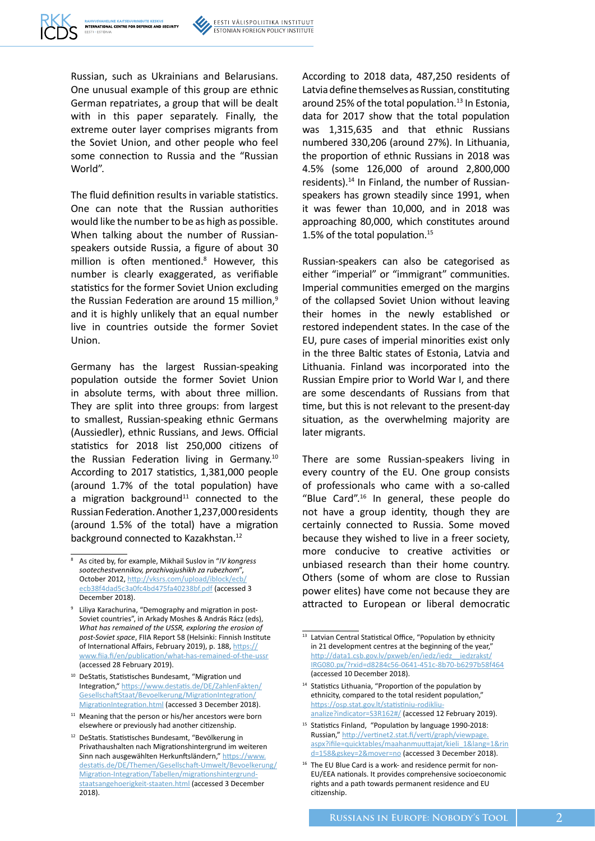

Russian, such as Ukrainians and Belarusians. One unusual example of this group are ethnic German repatriates, a group that will be dealt with in this paper separately. Finally, the extreme outer layer comprises migrants from the Soviet Union, and other people who feel some connection to Russia and the "Russian World".

The fluid definition results in variable statistics. One can note that the Russian authorities would like the number to be as high as possible. When talking about the number of Russianspeakers outside Russia, a figure of about 30 million is often mentioned.<sup>8</sup> However, this number is clearly exaggerated, as verifiable statistics for the former Soviet Union excluding the Russian Federation are around 15 million,<sup>9</sup> and it is highly unlikely that an equal number live in countries outside the former Soviet Union.

Germany has the largest Russian-speaking population outside the former Soviet Union in absolute terms, with about three million. They are split into three groups: from largest to smallest, Russian-speaking ethnic Germans (Aussiedler), ethnic Russians, and Jews. Official statistics for 2018 list 250,000 citizens of the Russian Federation living in Germany.10 According to 2017 statistics, 1,381,000 people (around 1.7% of the total population) have a migration background<sup>11</sup> connected to the Russian Federation. Another 1,237,000 residents (around 1.5% of the total) have a migration background connected to Kazakhstan.<sup>12</sup>

<sup>11</sup> Meaning that the person or his/her ancestors were born elsewhere or previously had another citizenship.

According to 2018 data, 487,250 residents of Latvia define themselves as Russian, constituting around 25% of the total population. $13$  In Estonia, data for 2017 show that the total population was 1,315,635 and that ethnic Russians numbered 330,206 (around 27%). In Lithuania, the proportion of ethnic Russians in 2018 was 4.5% (some 126,000 of around 2,800,000 residents).14 In Finland, the number of Russianspeakers has grown steadily since 1991, when it was fewer than 10,000, and in 2018 was approaching 80,000, which constitutes around 1.5% of the total population. $15$ 

Russian-speakers can also be categorised as either "imperial" or "immigrant" communities. Imperial communities emerged on the margins of the collapsed Soviet Union without leaving their homes in the newly established or restored independent states. In the case of the EU, pure cases of imperial minorities exist only in the three Baltic states of Estonia, Latvia and Lithuania. Finland was incorporated into the Russian Empire prior to World War I, and there are some descendants of Russians from that time, but this is not relevant to the present-day situation, as the overwhelming majority are later migrants.

There are some Russian-speakers living in every country of the EU. One group consists of professionals who came with a so-called "Blue Card".16 In general, these people do not have a group identity, though they are certainly connected to Russia. Some moved because they wished to live in a freer society, more conducive to creative activities or unbiased research than their home country. Others (some of whom are close to Russian power elites) have come not because they are attracted to European or liberal democratic

<sup>8</sup> As cited by, for example, Mikhail Suslov in "*IV kongress sootechestvennikov, prozhivajushikh za rubezhom*", October 2012, [http://vksrs.com/upload/iblock/ecb/](http://vksrs.com/upload/iblock/ecb/ecb38f4dad5c3a0fc4bd475fa40238bf.pdf) [ecb38f4dad5c3a0fc4bd475fa40238bf.pdf](http://vksrs.com/upload/iblock/ecb/ecb38f4dad5c3a0fc4bd475fa40238bf.pdf) (accessed 3 December 2018).

<sup>9</sup> Liliya Karachurina, "Demography and migration in post-Soviet countries", in Arkady Moshes & András Rácz (eds), *What has remained of the USSR, exploring the erosion of post-Soviet space*, FIIA Report 58 (Helsinki: Finnish Institute of International Affairs, February 2019), p. 188, https:// www.fiia.fi/en/publication/what-has-remained-of-the-ussr (accessed 28 February 2019).

<sup>&</sup>lt;sup>10</sup> DeStatis, Statistisches Bundesamt, "Migration und [Integration," https://www.destatis.de/DE/ZahlenFakten/](https://www.destatis.de/DE/ZahlenFakten/GesellschaftStaat/Bevoelkerung/MigrationIntegration/MigrationIntegration.html) GesellschaftStaat/Bevoelkerung/MigrationIntegration/ MigrationIntegration.html (accessed 3 December 2018).

<sup>12</sup> DeStatis. Statistisches Bundesamt, "Bevölkerung in Privathaushalten nach Migrationshintergrund im weiteren Sinn nach ausgewählten Herkunftsländern," https://www. [destatis.de/DE/Themen/Gesellschaft-Umwelt/Bevoelkerung/](https://www.destatis.de/DE/Themen/Gesellschaft-Umwelt/Bevoelkerung/Migration-Integration/Tabellen/migrationshintergrund-staatsangehoerigkeit-staaten.html) Migration-Integration/Tabellen/migrationshintergrundstaatsangehoerigkeit-staaten.html (accessed 3 December 2018).

<sup>&</sup>lt;sup>13</sup> Latvian Central Statistical Office, "Population by ethnicity in 21 development centres at the beginning of the year," http://data1.csb.gov.lv/pxweb/en/iedz/iedz\_iedzrakst/ [IRG080.px/?rxid=d8284c56-0641-451c-8b70-b6297b58f464](http://data1.csb.gov.lv/pxweb/en/iedz/iedz__iedzrakst/IRG080.px/?rxid=d8284c56-0641-451c-8b70-b6297b58f464) (accessed 10 December 2018).

<sup>&</sup>lt;sup>14</sup> Statistics Lithuania, "Proportion of the population by ethnicity, compared to the total resident population, https://osp.stat.gov.lt/statistiniu-rodikliuanalize?indicator=S3R162#/ (accessed 12 February 2019).

<sup>15</sup> Statistics Finland, "Population by language 1990-2018: Russian," http://vertinet2.stat.fi/verti/graph/viewpage. [aspx?ifile=quicktables/maahanmuuttajat/kieli\\_1&lang=1&rin](http://vertinet2.stat.fi/verti/graph/viewpage.aspx?ifile=quicktables/maahanmuuttajat/kieli_1&lang=1&rind=158&gskey=2&mover=no) d=158&gskey=2&mover=no (accessed 3 December 2018).

<sup>&</sup>lt;sup>16</sup> The EU Blue Card is a work- and residence permit for non-EU/EEA nationals. It provides comprehensive socioeconomic rights and a path towards permanent residence and EU citizenship.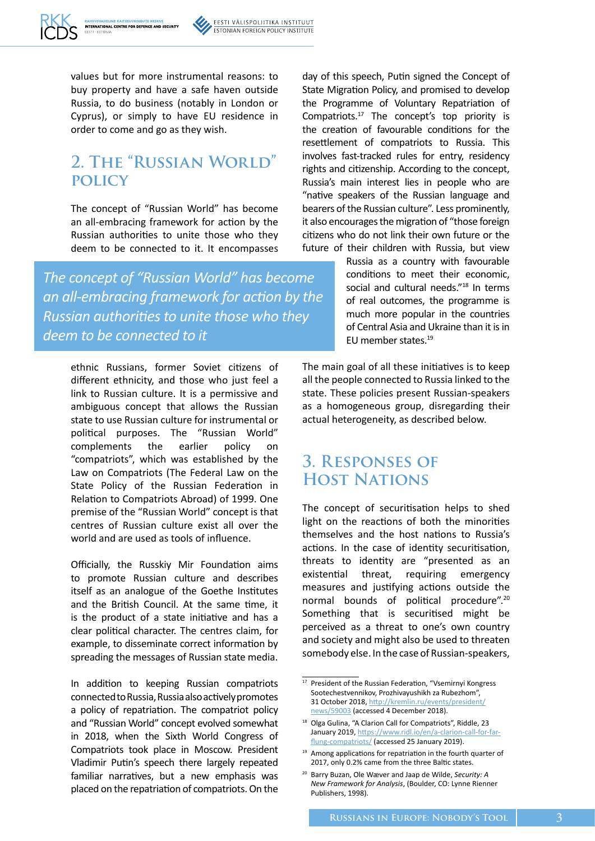

values but for more instrumental reasons: to buy property and have a safe haven outside Russia, to do business (notably in London or Cyprus), or simply to have EU residence in order to come and go as they wish.

# **2. The "Russian World" policy**

The concept of "Russian World" has become an all-embracing framework for action by the Russian authorities to unite those who they deem to be connected to it. It encompasses

*The concept of "Russian World" has become an all-embracing framework for action by the Russian authoritiesto unite those who they deem to be connected to it*

ethnic Russians, former Soviet citizens of different ethnicity, and those who just feel a link to Russian culture. It is a permissive and ambiguous concept that allows the Russian state to use Russian culture for instrumental or political purposes. The "Russian World" complements the earlier policy on "compatriots", which was established by the Law on Compatriots (The Federal Law on the State Policy of the Russian Federation in Relation to Compatriots Abroad) of 1999. One premise of the "Russian World" concept is that centres of Russian culture exist all over the world and are used as tools of influence.

Officially, the Russkiy Mir Foundation aims to promote Russian culture and describes itself as an analogue of the Goethe Institutes and the British Council. At the same time, it is the product of a state initiative and has a clear political character. The centres claim, for example, to disseminate correct information by spreading the messages of Russian state media.

In addition to keeping Russian compatriots connected to Russia, Russia also actively promotes a policy of repatriation. The compatriot policy and "Russian World" concept evolved somewhat in 2018, when the Sixth World Congress of Compatriots took place in Moscow. President Vladimir Putin's speech there largely repeated familiar narratives, but a new emphasis was placed on the repatriation of compatriots. On the day of this speech, Putin signed the Concept of State Migration Policy, and promised to develop the Programme of Voluntary Repatriation of Compatriots.17 The concept's top priority is the creation of favourable conditions for the resettlement of compatriots to Russia. This involves fast-tracked rules for entry, residency rights and citizenship. According to the concept, Russia's main interest lies in people who are "native speakers of the Russian language and bearers of the Russian culture". Less prominently, it also encourages the migration of "those foreign citizens who do not link their own future or the future of their children with Russia, but view

> Russia as a country with favourable conditions to meet their economic, social and cultural needs."<sup>18</sup> In terms of real outcomes, the programme is much more popular in the countries of Central Asia and Ukraine than it is in EU member states.19

The main goal of all these initiatives is to keep all the people connected to Russia linked to the state. These policies present Russian-speakers as a homogeneous group, disregarding their actual heterogeneity, as described below.

### **3. Responses of Host Nations**

The concept of securitisation helps to shed light on the reactions of both the minorities themselves and the host nations to Russia's actions. In the case of identity securitisation, threats to identity are "presented as an existential threat, requiring emergency measures and justifying actions outside the normal bounds of political procedure".20 Something that is securitised might be perceived as a threat to one's own country and society and might also be used to threaten somebody else. In the case of Russian-speakers,

<sup>&</sup>lt;sup>17</sup> President of the Russian Federation, "Vsemirnyi Kongress Sootechestvennikov, Prozhivayushikh za Rubezhom", 31 October 2018, [http://kremlin.ru/events/president/](http://kremlin.ru/events/president/news/59003) [news/59003](http://kremlin.ru/events/president/news/59003) (accessed 4 December 2018).

<sup>&</sup>lt;sup>18</sup> Olga Gulina, "A Clarion Call for Compatriots", Riddle, 23 January 2019, [https://www.ridl.io/en/a-clarion-call-for-far](https://www.ridl.io/en/a-clarion-call-for-far-flung-compatriots/)[flung-compatriots/](https://www.ridl.io/en/a-clarion-call-for-far-flung-compatriots/) (accessed 25 January 2019).

<sup>&</sup>lt;sup>19</sup> Among applications for repatriation in the fourth quarter of 2017, only 0.2% came from the three Baltic states.

<sup>20</sup> Barry Buzan, Ole Wæver and Jaap de Wilde, *Security: A New Framework for Analysis*, (Boulder, CO: Lynne Rienner Publishers, 1998).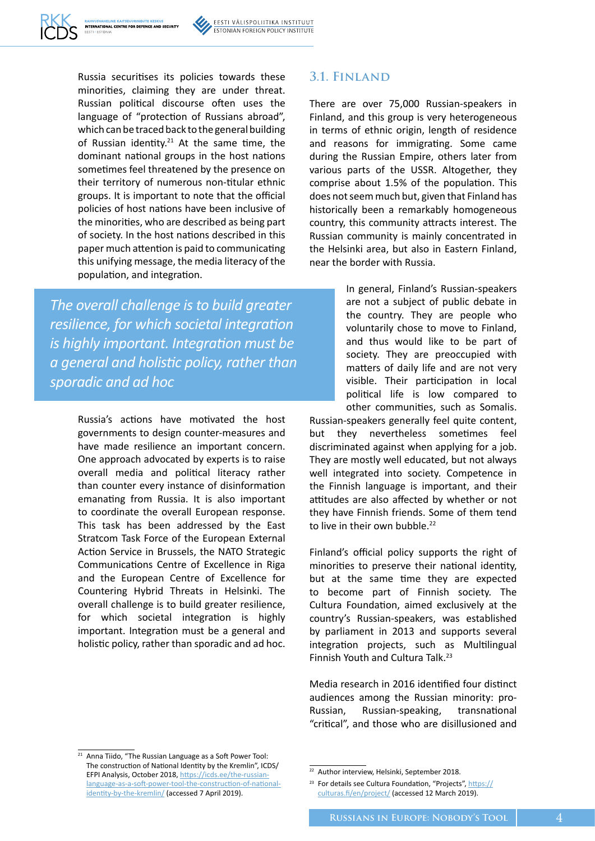

Russia securitises its policies towards these minorities, claiming they are under threat. Russian political discourse often uses the language of "protection of Russians abroad", which can be traced back to the general building of Russian identity.<sup>21</sup> At the same time, the dominant national groups in the host nations sometimes feel threatened by the presence on their territory of numerous non-titular ethnic groups. It is important to note that the official policies of host nations have been inclusive of the minorities, who are described as being part of society. In the host nations described in this paper much attention is paid to communicating this unifying message, the media literacy of the population, and integration.

*The overall challenge isto build greater resilience, for which societal integration is highly important. Integration must be a general and holistic policy, rather than sporadic and ad hoc*

> Russia's actions have motivated the host governments to design counter-measures and have made resilience an important concern. One approach advocated by experts is to raise overall media and political literacy rather than counter every instance of disinformation emanating from Russia. It is also important to coordinate the overall European response. This task has been addressed by the East Stratcom Task Force of the European External Action Service in Brussels, the NATO Strategic Communications Centre of Excellence in Riga and the European Centre of Excellence for Countering Hybrid Threats in Helsinki. The overall challenge is to build greater resilience, for which societal integration is highly important. Integration must be a general and holistic policy, rather than sporadic and ad hoc.

#### **3.1. Finland**

There are over 75,000 Russian-speakers in Finland, and this group is very heterogeneous in terms of ethnic origin, length of residence and reasons for immigrating. Some came during the Russian Empire, others later from various parts of the USSR. Altogether, they comprise about 1.5% of the population. This does not seem much but, given that Finland has historically been a remarkably homogeneous country, this community attracts interest. The Russian community is mainly concentrated in the Helsinki area, but also in Eastern Finland, near the border with Russia.

> In general, Finland's Russian-speakers are not a subject of public debate in the country. They are people who voluntarily chose to move to Finland, and thus would like to be part of society. They are preoccupied with matters of daily life and are not very visible. Their participation in local political life is low compared to other communities, such as Somalis.

Russian-speakers generally feel quite content, but they nevertheless sometimes feel discriminated against when applying for a job. They are mostly well educated, but not always well integrated into society. Competence in the Finnish language is important, and their attitudes are also affected by whether or not they have Finnish friends. Some of them tend to live in their own bubble.<sup>22</sup>

Finland's official policy supports the right of minorities to preserve their national identity, but at the same time they are expected to become part of Finnish society. The Cultura Foundation, aimed exclusively at the country's Russian-speakers, was established by parliament in 2013 and supports several integration projects, such as Multilingual Finnish Youth and Cultura Talk.<sup>23</sup>

Media research in 2016 identified four distinct audiences among the Russian minority: pro-Russian, Russian-speaking, transnational "critical", and those who are disillusioned and

<sup>&</sup>lt;sup>21</sup> Anna Tiido, "The Russian Language as a Soft Power Tool: The construction of National Identity by the Kremlin", ICDS/ EFPI Analysis, October 2018, [https://icds.ee/the-russian](https://icds.ee/the-russian-language-as-a-soft-power-tool-the-construction-of-national-identity-by-the-kremlin/)[language-as-a-soft-power-tool-the-construction-of-national](https://icds.ee/the-russian-language-as-a-soft-power-tool-the-construction-of-national-identity-by-the-kremlin/)[identity-by-the-kremlin/](https://icds.ee/the-russian-language-as-a-soft-power-tool-the-construction-of-national-identity-by-the-kremlin/) (accessed 7 April 2019).

<sup>&</sup>lt;sup>22</sup> Author interview, Helsinki, September 2018.

<sup>&</sup>lt;sup>23</sup> For details see Cultura Foundation, "Projects", [https://](https://culturas.fi/en/project/) [culturas.fi/en/project/](https://culturas.fi/en/project/) (accessed 12 March 2019).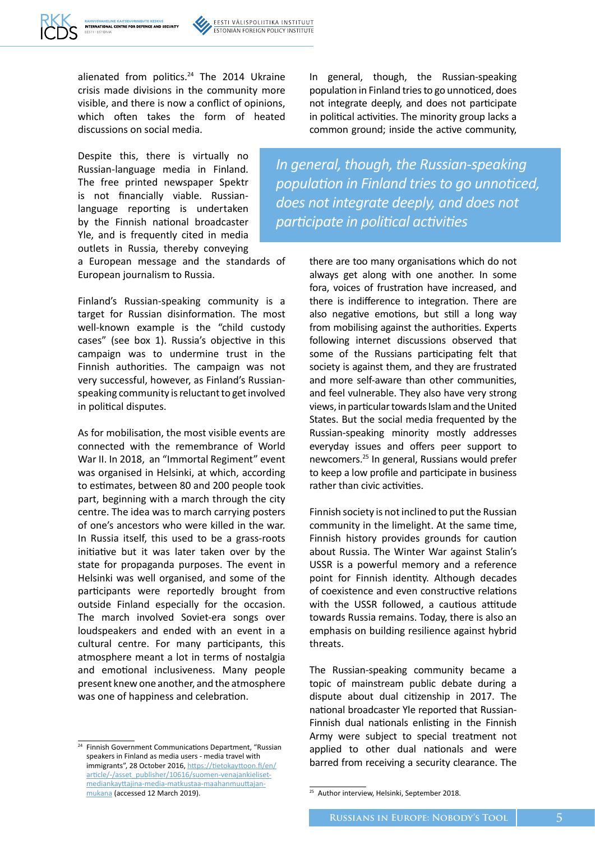

alienated from politics.<sup>24</sup> The 2014 Ukraine crisis made divisions in the community more visible, and there is now a conflict of opinions, which often takes the form of heated discussions on social media.

Despite this, there is virtually no Russian-language media in Finland. The free printed newspaper Spektr is not financially viable. Russianlanguage reporting is undertaken by the Finnish national broadcaster Yle, and is frequently cited in media outlets in Russia, thereby conveying

a European message and the standards of European journalism to Russia.

Finland's Russian-speaking community is a target for Russian disinformation. The most well-known example is the "child custody cases" (see box 1). Russia's objective in this campaign was to undermine trust in the Finnish authorities. The campaign was not very successful, however, as Finland's Russianspeaking community is reluctant to get involved in political disputes.

As for mobilisation, the most visible events are connected with the remembrance of World War II. In 2018, an "Immortal Regiment" event was organised in Helsinki, at which, according to estimates, between 80 and 200 people took part, beginning with a march through the city centre. The idea was to march carrying posters of one's ancestors who were killed in the war. In Russia itself, this used to be a grass-roots initiative but it was later taken over by the state for propaganda purposes. The event in Helsinki was well organised, and some of the participants were reportedly brought from outside Finland especially for the occasion. The march involved Soviet-era songs over loudspeakers and ended with an event in a cultural centre. For many participants, this atmosphere meant a lot in terms of nostalgia and emotional inclusiveness. Many people present knew one another, and the atmosphere was one of happiness and celebration.

<sup>24</sup> Finnish Government Communications Department, "Russian speakers in Finland as media users - media travel with immigrants", 28 October 2016, [https://tietokayttoon.fi/en/](https://tietokayttoon.fi/en/article/-/asset_publisher/10616/suomen-venajankieliset-mediankayttajina-media-matkustaa-maahanmuuttajan-mukana) [article/-/asset\\_publisher/10616/suomen-venajankieliset](https://tietokayttoon.fi/en/article/-/asset_publisher/10616/suomen-venajankieliset-mediankayttajina-media-matkustaa-maahanmuuttajan-mukana)[mediankayttajina-media-matkustaa-maahanmuuttajan](https://tietokayttoon.fi/en/article/-/asset_publisher/10616/suomen-venajankieliset-mediankayttajina-media-matkustaa-maahanmuuttajan-mukana)[mukana](https://tietokayttoon.fi/en/article/-/asset_publisher/10616/suomen-venajankieliset-mediankayttajina-media-matkustaa-maahanmuuttajan-mukana) (accessed 12 March 2019).

In general, though, the Russian-speaking population in Finland tries to go unnoticed, does not integrate deeply, and does not participate in political activities. The minority group lacks a common ground; inside the active community,

*In general, though, the Russian-speaking population in Finland triesto go unnoticed, does not integrate deeply, and does not participate in political activities*

> there are too many organisations which do not always get along with one another. In some fora, voices of frustration have increased, and there is indifference to integration. There are also negative emotions, but still a long way from mobilising against the authorities. Experts following internet discussions observed that some of the Russians participating felt that society is against them, and they are frustrated and more self-aware than other communities, and feel vulnerable. They also have very strong views, in particular towards Islam and the United States. But the social media frequented by the Russian-speaking minority mostly addresses everyday issues and offers peer support to newcomers.<sup>25</sup> In general, Russians would prefer to keep a low profile and participate in business rather than civic activities.

> Finnish society is not inclined to put the Russian community in the limelight. At the same time, Finnish history provides grounds for caution about Russia. The Winter War against Stalin's USSR is a powerful memory and a reference point for Finnish identity. Although decades of coexistence and even constructive relations with the USSR followed, a cautious attitude towards Russia remains. Today, there is also an emphasis on building resilience against hybrid threats.

> The Russian-speaking community became a topic of mainstream public debate during a dispute about dual citizenship in 2017. The national broadcaster Yle reported that Russian-Finnish dual nationals enlisting in the Finnish Army were subject to special treatment not applied to other dual nationals and were barred from receiving a security clearance. The

<sup>&</sup>lt;sup>25</sup> Author interview, Helsinki, September 2018.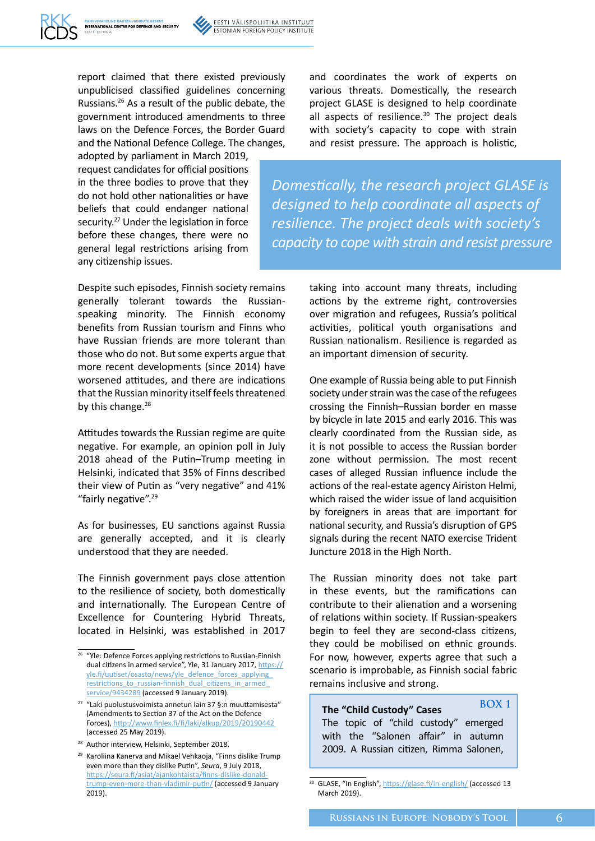report claimed that there existed previously unpublicised classified guidelines concerning Russians.26 As a result of the public debate, the government introduced amendments to three laws on the Defence Forces, the Border Guard and the National Defence College. The changes,

INTERNATIONAL CENTRE FOR DEFENCE AND SECURITY

adopted by parliament in March 2019, request candidates for official positions in the three bodies to prove that they do not hold other nationalities or have beliefs that could endanger national security.<sup>27</sup> Under the legislation in force

before these changes, there were no general legal restrictions arising from any citizenship issues. Despite such episodes, Finnish society remains generally tolerant towards the Russianspeaking minority. The Finnish economy benefits from Russian tourism and Finns who have Russian friends are more tolerant than

those who do not. But some experts argue that more recent developments (since 2014) have worsened attitudes, and there are indications that the Russian minority itself feels threatened by this change.<sup>28</sup>

Attitudes towards the Russian regime are quite negative. For example, an opinion poll in July 2018 ahead of the Putin–Trump meeting in Helsinki, indicated that 35% of Finns described their view of Putin as "very negative" and 41% "fairly negative".<sup>29</sup>

As for businesses, EU sanctions against Russia are generally accepted, and it is clearly understood that they are needed.

The Finnish government pays close attention to the resilience of society, both domestically and internationally. The European Centre of Excellence for Countering Hybrid Threats, located in Helsinki, was established in 2017

and coordinates the work of experts on various threats. Domestically, the research project GLASE is designed to help coordinate all aspects of resilience.<sup>30</sup> The project deals with society's capacity to cope with strain and resist pressure. The approach is holistic,

*Domestically, the research project GLASE is designed to help coordinate all aspects of resilience. The project deals with society's capacity to cope with strain and resist pressure*

> taking into account many threats, including actions by the extreme right, controversies over migration and refugees, Russia's political activities, political youth organisations and Russian nationalism. Resilience is regarded as an important dimension of security.

> One example of Russia being able to put Finnish society under strain was the case of the refugees crossing the Finnish–Russian border en masse by bicycle in late 2015 and early 2016. This was clearly coordinated from the Russian side, as it is not possible to access the Russian border zone without permission. The most recent cases of alleged Russian influence include the actions of the real-estate agency Airiston Helmi, which raised the wider issue of land acquisition by foreigners in areas that are important for national security, and Russia's disruption of GPS signals during the recent NATO exercise Trident Juncture 2018 in the High North.

> The Russian minority does not take part in these events, but the ramifications can contribute to their alienation and a worsening of relations within society. If Russian-speakers begin to feel they are second-class citizens, they could be mobilised on ethnic grounds. For now, however, experts agree that such a scenario is improbable, as Finnish social fabric remains inclusive and strong.

**The "Child Custody" Cases** The topic of "child custody" emerged with the "Salonen affair" in autumn 2009. A Russian citizen, Rimma Salonen, **BOX 1**

<sup>&</sup>lt;sup>26</sup> "Yle: Defence Forces applying restrictions to Russian-Finnish dual citizens in armed service", Yle, 31 January 2017, [https://](https://yle.fi/uutiset/osasto/news/yle_defence_forces_applying_restrictions_to_russian-finnish_dual_citizens_in_armed_service/9434289) [yle.fi/uutiset/osasto/news/yle\\_defence\\_forces\\_applying\\_](https://yle.fi/uutiset/osasto/news/yle_defence_forces_applying_restrictions_to_russian-finnish_dual_citizens_in_armed_service/9434289) restrictions to russian-finnish dual citizens in armed [service/9434289](https://yle.fi/uutiset/osasto/news/yle_defence_forces_applying_restrictions_to_russian-finnish_dual_citizens_in_armed_service/9434289) (accessed 9 January 2019).

<sup>27</sup> "Laki puolustusvoimista annetun lain 37 §:n muuttamisesta" (Amendments to Section 37 of the Act on the Defence Forces), <http://www.finlex.fi/fi/laki/alkup/2019/20190442> (accessed 25 May 2019).

<sup>28</sup> Author interview, Helsinki, September 2018.

<sup>29</sup> Karoliina Kanerva and Mikael Vehkaoja, "Finns dislike Trump even more than they dislike Putin", *Seura*, 9 July 2018, [https://seura.fi/asiat/ajankohtaista/finns-dislike-donald](https://seura.fi/asiat/ajankohtaista/finns-dislike-donald-trump-even-more-than-vladimir-putin/)[trump-even-more-than-vladimir-putin/](https://seura.fi/asiat/ajankohtaista/finns-dislike-donald-trump-even-more-than-vladimir-putin/) (accessed 9 January 2019).

<sup>&</sup>lt;sup>30</sup> GLASE, "In English",<https://glase.fi/in-english/> (accessed 13 March 2019).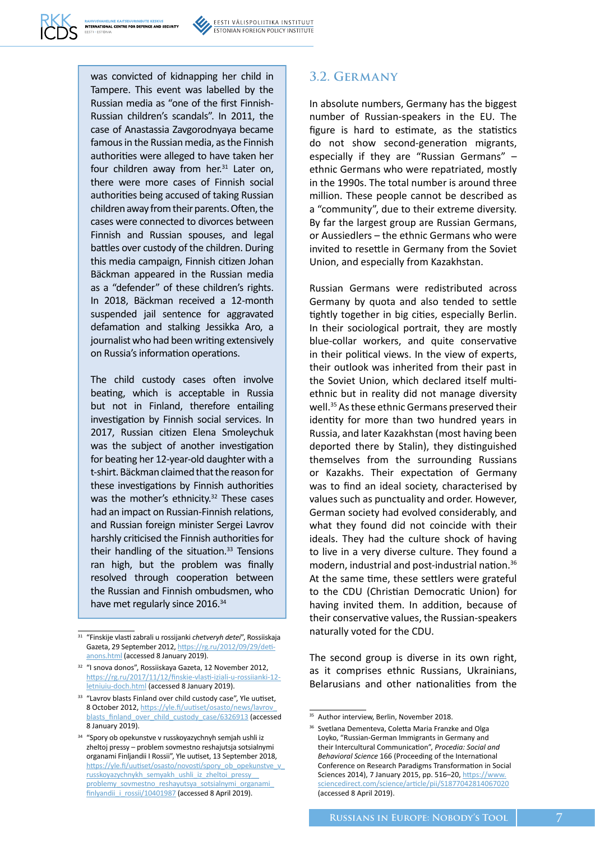was convicted of kidnapping her child in Tampere. This event was labelled by the Russian media as "one of the first Finnish-Russian children's scandals". In 2011, the case of Anastassia Zavgorodnyaya became famous in the Russian media, as the Finnish authorities were alleged to have taken her four children away from her. $31$  Later on, there were more cases of Finnish social authorities being accused of taking Russian children away from their parents. Often, the cases were connected to divorces between Finnish and Russian spouses, and legal battles over custody of the children. During this media campaign, Finnish citizen Johan Bäckman appeared in the Russian media as a "defender" of these children's rights. In 2018, Bäckman received a 12-month suspended jail sentence for aggravated defamation and stalking Jessikka Aro, a journalist who had been writing extensively on Russia's information operations.

The child custody cases often involve beating, which is acceptable in Russia but not in Finland, therefore entailing investigation by Finnish social services. In 2017, Russian citizen Elena Smoleychuk was the subject of another investigation for beating her 12-year-old daughter with a t-shirt. Bäckman claimed that the reason for these investigations by Finnish authorities was the mother's ethnicity.<sup>32</sup> These cases had an impact on Russian-Finnish relations, and Russian foreign minister Sergei Lavrov harshly criticised the Finnish authorities for their handling of the situation. $33$  Tensions ran high, but the problem was finally resolved through cooperation between the Russian and Finnish ombudsmen, who have met regularly since 2016.<sup>34</sup>

#### **3.2. Germany**

In absolute numbers, Germany has the biggest number of Russian-speakers in the EU. The figure is hard to estimate, as the statistics do not show second-generation migrants, especially if they are "Russian Germans" – ethnic Germans who were repatriated, mostly in the 1990s. The total number is around three million. These people cannot be described as a "community", due to their extreme diversity. By far the largest group are Russian Germans, or Aussiedlers – the ethnic Germans who were invited to resettle in Germany from the Soviet Union, and especially from Kazakhstan.

Russian Germans were redistributed across Germany by quota and also tended to settle tightly together in big cities, especially Berlin. In their sociological portrait, they are mostly blue-collar workers, and quite conservative in their political views. In the view of experts, their outlook was inherited from their past in the Soviet Union, which declared itself multiethnic but in reality did not manage diversity well.<sup>35</sup> As these ethnic Germans preserved their identity for more than two hundred years in Russia, and later Kazakhstan (most having been deported there by Stalin), they distinguished themselves from the surrounding Russians or Kazakhs. Their expectation of Germany was to find an ideal society, characterised by values such as punctuality and order. However, German society had evolved considerably, and what they found did not coincide with their ideals. They had the culture shock of having to live in a very diverse culture. They found a modern, industrial and post-industrial nation.36 At the same time, these settlers were grateful to the CDU (Christian Democratic Union) for having invited them. In addition, because of their conservative values, the Russian-speakers naturally voted for the CDU.

The second group is diverse in its own right, as it comprises ethnic Russians, Ukrainians, Belarusians and other nationalities from the

<sup>31</sup> "Finskije vlasti zabrali u rossijanki *chetveryh detei*", Rossiiskaja Gazeta, 29 September 2012, [https://rg.ru/2012/09/29/deti](https://rg.ru/2012/09/29/deti-anons.html)[anons.html](https://rg.ru/2012/09/29/deti-anons.html) (accessed 8 January 2019).

<sup>&</sup>lt;sup>32</sup> "I snova donos", Rossiiskava Gazeta, 12 November 2012, [https://rg.ru/2017/11/12/finskie-vlasti-iziali-u-rossiianki-12](https://rg.ru/2017/11/12/finskie-vlasti-iziali-u-rossiianki-12-letniuiu-doch.html) [letniuiu-doch.html](https://rg.ru/2017/11/12/finskie-vlasti-iziali-u-rossiianki-12-letniuiu-doch.html) (accessed 8 January 2019).

<sup>&</sup>lt;sup>33</sup> "Lavrov blasts Finland over child custody case", Yle uutiset, 8 October 2012, https://yle.fi/uutiset/osasto/news/lavrov [blasts\\_finland\\_over\\_child\\_custody\\_case/6326913](https://yle.fi/uutiset/osasto/news/lavrov_blasts_finland_over_child_custody_case/6326913) (accessed 8 January 2019).

<sup>34</sup> "Spory ob opekunstve v russkoyazychnyh semjah ushli iz zheltoj pressy – problem sovmestno reshajutsja sotsialnymi organami Finljandii I Rossii", Yle uutiset, 13 September 2018, [https://yle.fi/uutiset/osasto/novosti/spory\\_ob\\_opekunstve\\_v\\_](https://yle.fi/uutiset/osasto/novosti/spory_ob_opekunstve_v_russkoyazychnykh_semyakh_ushli_iz_zheltoi_pressy__problemy_sovmestno_reshayutsya_sotsialnymi_organami_finlyandii_i_rossii/10401987) [russkoyazychnykh\\_semyakh\\_ushli\\_iz\\_zheltoi\\_pressy\\_\\_](https://yle.fi/uutiset/osasto/novosti/spory_ob_opekunstve_v_russkoyazychnykh_semyakh_ushli_iz_zheltoi_pressy__problemy_sovmestno_reshayutsya_sotsialnymi_organami_finlyandii_i_rossii/10401987) [problemy\\_sovmestno\\_reshayutsya\\_sotsialnymi\\_organami\\_](https://yle.fi/uutiset/osasto/novosti/spory_ob_opekunstve_v_russkoyazychnykh_semyakh_ushli_iz_zheltoi_pressy__problemy_sovmestno_reshayutsya_sotsialnymi_organami_finlyandii_i_rossii/10401987) [finlyandii\\_i\\_rossii/10401987](https://yle.fi/uutiset/osasto/novosti/spory_ob_opekunstve_v_russkoyazychnykh_semyakh_ushli_iz_zheltoi_pressy__problemy_sovmestno_reshayutsya_sotsialnymi_organami_finlyandii_i_rossii/10401987) (accessed 8 April 2019).

<sup>&</sup>lt;sup>35</sup> Author interview, Berlin, November 2018.

<sup>&</sup>lt;sup>36</sup> Svetlana Dementeva, Coletta Maria Franzke and Olga Loyko, "Russian-German Immigrants in Germany and their Intercultural Communication", *Procedia: Social and Behavioral Science* 166 (Proceeding of the International Conference on Research Paradigms Transformation in Social Sciences 2014), 7 January 2015, pp. 516-20, [https://www.](https://www.sciencedirect.com/science/article/pii/S1877042814067020) [sciencedirect.com/science/article/pii/S1877042814067020](https://www.sciencedirect.com/science/article/pii/S1877042814067020) (accessed 8 April 2019).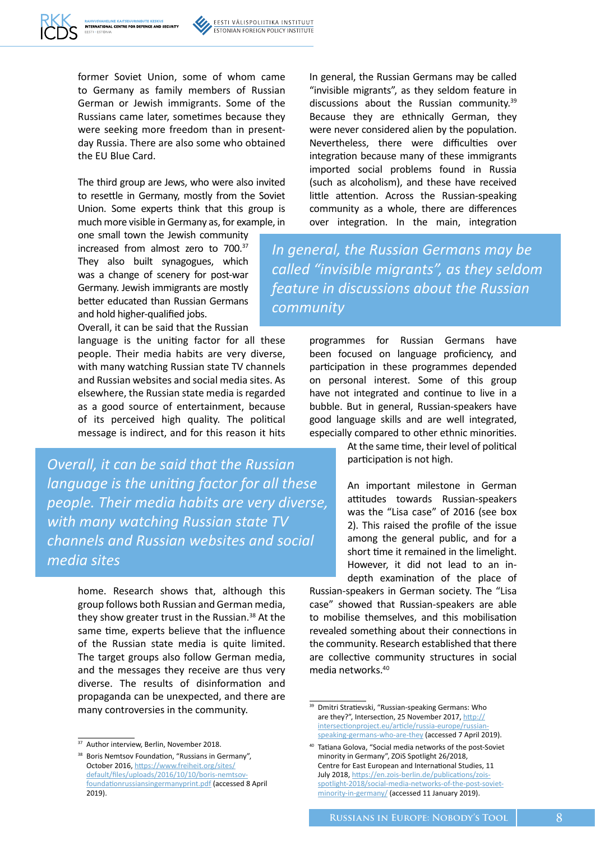former Soviet Union, some of whom came to Germany as family members of Russian German or Jewish immigrants. Some of the Russians came later, sometimes because they were seeking more freedom than in presentday Russia. There are also some who obtained the EU Blue Card.

The third group are Jews, who were also invited to resettle in Germany, mostly from the Soviet Union. Some experts think that this group is much more visible in Germany as, for example, in

one small town the Jewish community increased from almost zero to 700.<sup>37</sup> They also built synagogues, which was a change of scenery for post-war Germany. Jewish immigrants are mostly better educated than Russian Germans and hold higher-qualified jobs.

Overall, it can be said that the Russian

language is the uniting factor for all these people. Their media habits are very diverse, with many watching Russian state TV channels and Russian websites and social media sites. As elsewhere, the Russian state media is regarded as a good source of entertainment, because of its perceived high quality. The political message is indirect, and for this reason it hits

*Overall, it can be said that the Russian language is the uniting factor for all these people. Their media habits are very diverse, with many watching Russian state TV channels and Russian websites and social media sites*

> home. Research shows that, although this group follows both Russian and German media, they show greater trust in the Russian.<sup>38</sup> At the same time, experts believe that the influence of the Russian state media is quite limited. The target groups also follow German media, and the messages they receive are thus very diverse. The results of disinformation and propaganda can be unexpected, and there are many controversies in the community.

In general, the Russian Germans may be called "invisible migrants", as they seldom feature in discussions about the Russian community.<sup>39</sup> Because they are ethnically German, they were never considered alien by the population. Nevertheless, there were difficulties over integration because many of these immigrants imported social problems found in Russia (such as alcoholism), and these have received little attention. Across the Russian-speaking community as a whole, there are differences over integration. In the main, integration

*In general, the Russian Germans may be called "invisible migrants", as they seldom feature in discussions about the Russian community*

> programmes for Russian Germans have been focused on language proficiency, and participation in these programmes depended on personal interest. Some of this group have not integrated and continue to live in a bubble. But in general, Russian-speakers have good language skills and are well integrated, especially compared to other ethnic minorities.

> > At the same time, their level of political participation is not high.

An important milestone in German attitudes towards Russian-speakers was the "Lisa case" of 2016 (see box 2). This raised the profile of the issue among the general public, and for a short time it remained in the limelight. However, it did not lead to an indepth examination of the place of

Russian-speakers in German society. The "Lisa case" showed that Russian-speakers are able to mobilise themselves, and this mobilisation revealed something about their connections in the community. Research established that there are collective community structures in social media networks.40

<sup>&</sup>lt;sup>37</sup> Author interview, Berlin, November 2018.

<sup>&</sup>lt;sup>38</sup> Boris Nemtsov Foundation, "Russians in Germany", October 2016, https://www.freiheit.org/sites/ [default/files/uploads/2016/10/10/boris-nemtsov](https://www.freiheit.org/sites/default/files/uploads/2016/10/10/boris-nemtsov-foundationrussiansingermanyprint.pdf)foundationrussiansingermanyprint.pdf (accessed 8 April 2019).

<sup>&</sup>lt;sup>39</sup> Dmitri Stratievski, "Russian-speaking Germans: Who are they?", Intersection, 25 November 2017, http:// intersectionproject.eu/article/russia-europe/russian[speaking-germans-who-are-they \(accessed 7 April 201](https://www.ridl.io/en/russian-speaking-germans-who-are-they/)9).

<sup>40</sup> Tatiana Golova, "Social media networks of the post-Soviet minority in Germany", ZOiS Spotlight 26/2018, Centre for East European and International Studies, 11 July 2018, https://en.zois-berlin.de/publications/zois[spotlight-2018/social-media-networks-of-the-post-soviet](https://en.zois-berlin.de/publications/zois-spotlight-2018/social-media-networks-of-the-post-soviet-minority-in-germany/)minority-in-germany/ (accessed 11 January 2019).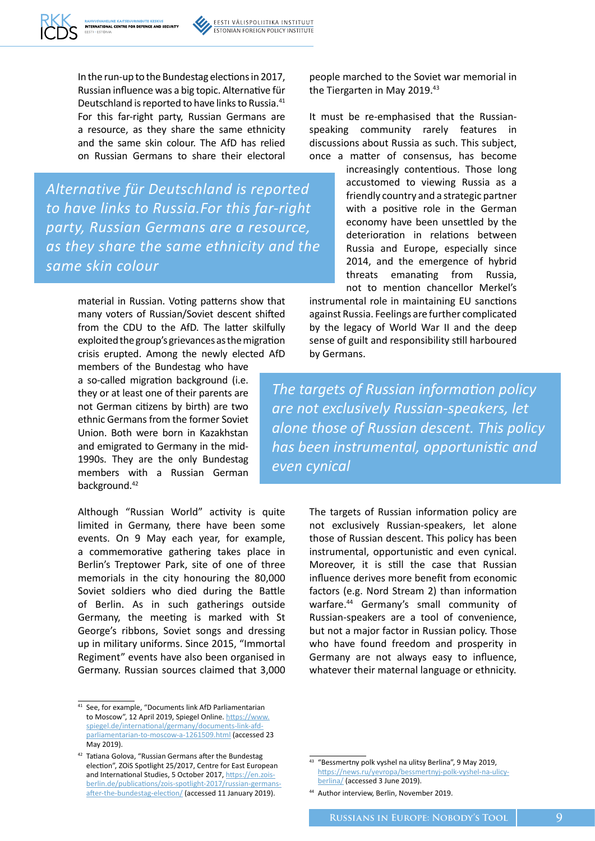

In the run-up to the Bundestag elections in 2017, Russian influence was a big topic. Alternative für Deutschland is reported to have links to Russia.<sup>41</sup> For this far-right party, Russian Germans are a resource, as they share the same ethnicity and the same skin colour. The AfD has relied on Russian Germans to share their electoral

*Alternative für Deutschland is reported to have links to Russia.For this far-right party, Russian Germans are a resource, as they share the same ethnicity and the same skin colour*

> material in Russian. Voting patterns show that many voters of Russian/Soviet descent shifted from the CDU to the AfD. The latter skilfully exploited the group's grievances as the migration crisis erupted. Among the newly elected AfD

members of the Bundestag who have a so-called migration background (i.e. they or at least one of their parents are not German citizens by birth) are two ethnic Germans from the former Soviet Union. Both were born in Kazakhstan and emigrated to Germany in the mid-1990s. They are the only Bundestag members with a Russian German background.<sup>42</sup>

Although "Russian World" activity is quite limited in Germany, there have been some events. On 9 May each year, for example, a commemorative gathering takes place in Berlin's Treptower Park, site of one of three memorials in the city honouring the 80,000 Soviet soldiers who died during the Battle of Berlin. As in such gatherings outside Germany, the meeting is marked with St George's ribbons, Soviet songs and dressing up in military uniforms. Since 2015, "Immortal Regiment" events have also been organised in Germany. Russian sources claimed that 3,000 people marched to the Soviet war memorial in the Tiergarten in May 2019.<sup>43</sup>

It must be re-emphasised that the Russianspeaking community rarely features in discussions about Russia as such. This subject, once a matter of consensus, has become

> increasingly contentious. Those long accustomed to viewing Russia as a friendly country and a strategic partner with a positive role in the German economy have been unsettled by the deterioration in relations between Russia and Europe, especially since 2014, and the emergence of hybrid threats emanating from Russia, not to mention chancellor Merkel's

instrumental role in maintaining EU sanctions against Russia. Feelings are further complicated by the legacy of World War II and the deep sense of guilt and responsibility still harboured by Germans.

*The targets of Russian information policy are not exclusively Russian-speakers, let alone those of Russian descent. This policy has been instrumental, opportunistic and even cynical*

> The targets of Russian information policy are not exclusively Russian-speakers, let alone those of Russian descent. This policy has been instrumental, opportunistic and even cynical. Moreover, it is still the case that Russian influence derives more benefit from economic factors (e.g. Nord Stream 2) than information warfare.<sup>44</sup> Germany's small community of Russian-speakers are a tool of convenience, but not a major factor in Russian policy. Those who have found freedom and prosperity in Germany are not always easy to influence, whatever their maternal language or ethnicity.

<sup>41</sup> See, for example, "Documents link AfD Parliamentarian to Moscow", 12 April 2019, Spiegel Online. [https://www.](https://www.spiegel.de/international/germany/documents-link-afd-parliamentarian-to-moscow-a-1261509.html) [spiegel.de/international/germany/documents-link-afd](https://www.spiegel.de/international/germany/documents-link-afd-parliamentarian-to-moscow-a-1261509.html)[parliamentarian-to-moscow-a-1261509.html](https://www.spiegel.de/international/germany/documents-link-afd-parliamentarian-to-moscow-a-1261509.html) (accessed 23 May 2019).

<sup>42</sup> Tatiana Golova, "Russian Germans after the Bundestag election", ZOiS Spotlight 25/2017, Centre for East European and International Studies, 5 October 2017, [https://en.zois](https://en.zois-berlin.de/publications/zois-spotlight-2017/russian-germans-after-the-bundestag-election/)[berlin.de/publications/zois-spotlight-2017/russian-germans](https://en.zois-berlin.de/publications/zois-spotlight-2017/russian-germans-after-the-bundestag-election/)[after-the-bundestag-election/](https://en.zois-berlin.de/publications/zois-spotlight-2017/russian-germans-after-the-bundestag-election/) (accessed 11 January 2019).

<sup>43</sup> "Bessmertny polk vyshel na ulitsy Berlina", 9 May 2019, [https://news.ru/yevropa/bessmertnyj-polk-vyshel-na-ulicy](https://news.ru/yevropa/bessmertnyj-polk-vyshel-na-ulicy-berlina/)[berlina/](https://news.ru/yevropa/bessmertnyj-polk-vyshel-na-ulicy-berlina/) (accessed 3 June 2019).

<sup>44</sup> Author interview, Berlin, November 2019.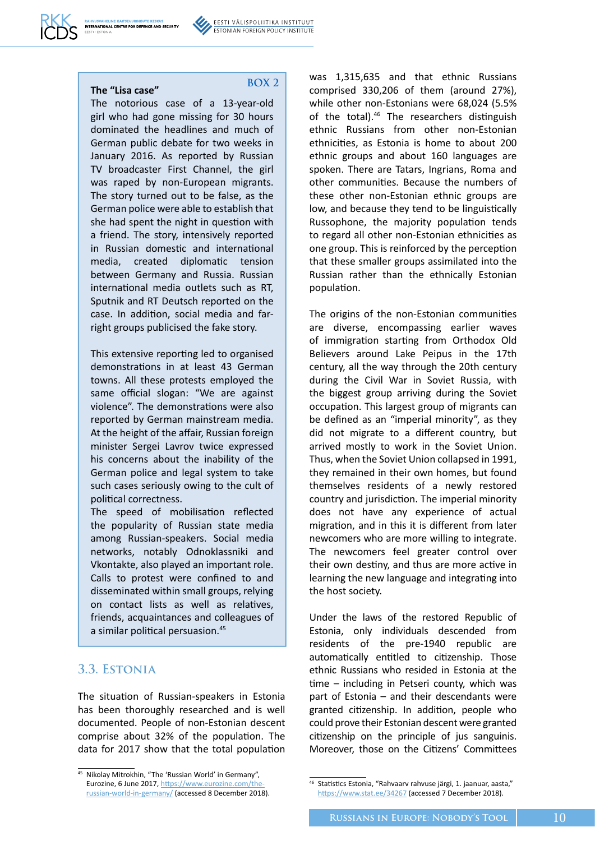**BOX 2**

The notorious case of a 13-year-old girl who had gone missing for 30 hours dominated the headlines and much of German public debate for two weeks in January 2016. As reported by Russian TV broadcaster First Channel, the girl was raped by non-European migrants. The story turned out to be false, as the German police were able to establish that she had spent the night in question with a friend. The story, intensively reported in Russian domestic and international media, created diplomatic tension between Germany and Russia. Russian international media outlets such as RT, Sputnik and RT Deutsch reported on the case. In addition, social media and farright groups publicised the fake story.

This extensive reporting led to organised demonstrations in at least 43 German towns. All these protests employed the same official slogan: "We are against violence". The demonstrations were also reported by German mainstream media. At the height of the affair, Russian foreign minister Sergei Lavrov twice expressed his concerns about the inability of the German police and legal system to take such cases seriously owing to the cult of political correctness.

The speed of mobilisation reflected the popularity of Russian state media among Russian-speakers. Social media networks, notably Odnoklassniki and Vkontakte, also played an important role. Calls to protest were confined to and disseminated within small groups, relying on contact lists as well as relatives, friends, acquaintances and colleagues of a similar political persuasion.<sup>45</sup>

#### **3.3. Estonia**

The situation of Russian-speakers in Estonia has been thoroughly researched and is well documented. People of non-Estonian descent comprise about 32% of the population. The data for 2017 show that the total population was 1,315,635 and that ethnic Russians comprised 330,206 of them (around 27%), while other non-Estonians were 68,024 (5.5% of the total).<sup>46</sup> The researchers distinguish ethnic Russians from other non-Estonian ethnicities, as Estonia is home to about 200 ethnic groups and about 160 languages are spoken. There are Tatars, Ingrians, Roma and other communities. Because the numbers of these other non-Estonian ethnic groups are low, and because they tend to be linguistically Russophone, the majority population tends to regard all other non-Estonian ethnicities as one group. This is reinforced by the perception that these smaller groups assimilated into the Russian rather than the ethnically Estonian population.

The origins of the non-Estonian communities are diverse, encompassing earlier waves of immigration starting from Orthodox Old Believers around Lake Peipus in the 17th century, all the way through the 20th century during the Civil War in Soviet Russia, with the biggest group arriving during the Soviet occupation. This largest group of migrants can be defined as an "imperial minority", as they did not migrate to a different country, but arrived mostly to work in the Soviet Union. Thus, when the Soviet Union collapsed in 1991, they remained in their own homes, but found themselves residents of a newly restored country and jurisdiction. The imperial minority does not have any experience of actual migration, and in this it is different from later newcomers who are more willing to integrate. The newcomers feel greater control over their own destiny, and thus are more active in learning the new language and integrating into the host society.

Under the laws of the restored Republic of Estonia, only individuals descended from residents of the pre-1940 republic are automatically entitled to citizenship. Those ethnic Russians who resided in Estonia at the time – including in Petseri county, which was part of Estonia – and their descendants were granted citizenship. In addition, people who could prove their Estonian descent were granted citizenship on the principle of jus sanguinis. Moreover, those on the Citizens' Committees

<sup>45</sup> Nikolay Mitrokhin, "The 'Russian World' in Germany", Eurozine, 6 June 2017, https://www.eurozine.com/t [russian-world-in-germany/](https://www.eurozine.com/the-russian-world-in-germany/) (accessed 8 December 2018).

<sup>46</sup> Statistics Estonia, "Rahvaarv rahvuse järgi, 1. jaanuar, aasta," https://www.stat.ee/34267 (accessed 7 December 2018).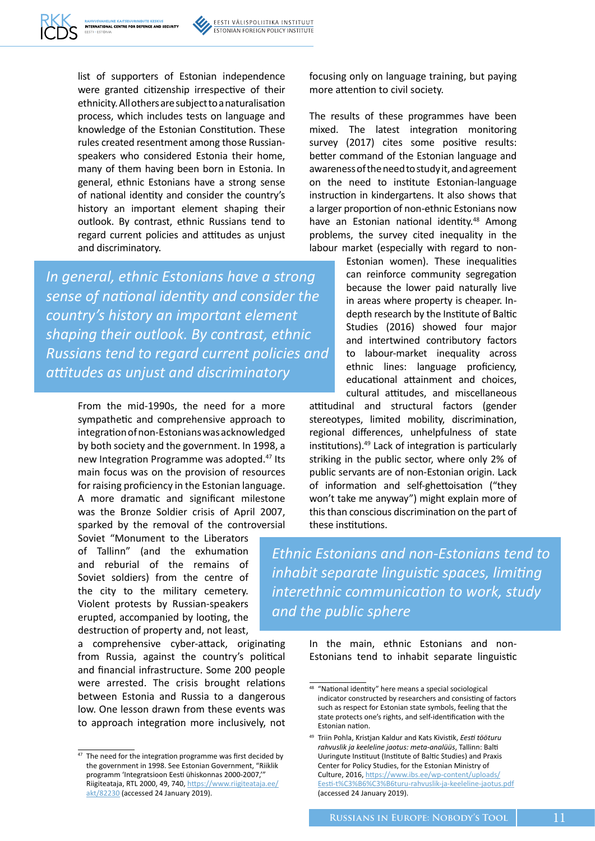

list of supporters of Estonian independence were granted citizenship irrespective of their ethnicity. All others are subject to a naturalisation process, which includes tests on language and knowledge of the Estonian Constitution. These rules created resentment among those Russianspeakers who considered Estonia their home, many of them having been born in Estonia. In general, ethnic Estonians have a strong sense of national identity and consider the country's history an important element shaping their outlook. By contrast, ethnic Russians tend to regard current policies and attitudes as unjust and discriminatory.

*In general, ethnic Estonians have a strong sense of national identity and consider the country's history an important element shaping their outlook. By contrast, ethnic Russians tend to regard current policies and attitudes as unjust and discriminatory*

> From the mid-1990s, the need for a more sympathetic and comprehensive approach to integration of non-Estonians was acknowledged by both society and the government. In 1998, a new Integration Programme was adopted.<sup>47</sup> Its main focus was on the provision of resources for raising proficiency in the Estonian language. A more dramatic and significant milestone was the Bronze Soldier crisis of April 2007, sparked by the removal of the controversial

Soviet "Monument to the Liberators of Tallinn" (and the exhumation and reburial of the remains of Soviet soldiers) from the centre of the city to the military cemetery. Violent protests by Russian-speakers erupted, accompanied by looting, the destruction of property and, not least,

a comprehensive cyber-attack, originating from Russia, against the country's political and financial infrastructure. Some 200 people were arrested. The crisis brought relations between Estonia and Russia to a dangerous low. One lesson drawn from these events was to approach integration more inclusively, not focusing only on language training, but paying more attention to civil society.

The results of these programmes have been mixed. The latest integration monitoring survey (2017) cites some positive results: better command of the Estonian language and awareness of the need to study it, and agreement on the need to institute Estonian-language instruction in kindergartens. It also shows that a larger proportion of non-ethnic Estonians now have an Estonian national identity.<sup>48</sup> Among problems, the survey cited inequality in the labour market (especially with regard to non-

> Estonian women). These inequalities can reinforce community segregation because the lower paid naturally live in areas where property is cheaper. Indepth research by the Institute of Baltic Studies (2016) showed four major and intertwined contributory factors to labour-market inequality across ethnic lines: language proficiency, educational attainment and choices, cultural attitudes, and miscellaneous

attitudinal and structural factors (gender stereotypes, limited mobility, discrimination, regional differences, unhelpfulness of state institutions).49 Lack of integration is particularly striking in the public sector, where only 2% of public servants are of non-Estonian origin. Lack of information and self-ghettoisation ("they won't take me anyway") might explain more of this than conscious discrimination on the part of these institutions.

*Ethnic Estonians and non-Estonians tend to inhabit separate linguistic spaces, limiting interethnic communication to work, study and the public sphere*

> In the main, ethnic Estonians and non-Estonians tend to inhabit separate linguistic

<sup>&</sup>lt;sup>47</sup> The need for the integration programme was first decided by the government in 1998. See Estonian Government, "Riiklik programm 'Integratsioon Eesti ühiskonnas 2000-2007,'" [Riigiteataja, RTL 2000, 49, 740, https://www.riigiteataja.ee/](https://www.riigiteataja.ee/akt/82230) akt/82230 (accessed 24 January 2019).

 $48$  "National identity" here means a special sociological indicator constructed by researchers and consisting of factors such as respect for Estonian state symbols, feeling that the state protects one's rights, and self-identification with the Estonian nation.

<sup>49</sup> Triin Pohla, Kristjan Kaldur and Kats Kivistik, *Eesti tööturu rahvuslik ja keeleline jaotus: meta-analüüs*, Tallinn: Balti Uuringute Instituut (Institute of Baltic Studies) and Praxis Center for Policy Studies, for the Estonian Ministry of Culture, 2016, [https://www.ibs.ee/wp-content/uploads/](https://www.ibs.ee/wp-content/uploads/Eesti-t��turu-rahvuslik-ja-keeleline-jaotus.pdf) [Eesti-t%C3%B6%C3%B6turu-rahvuslik-ja-keel](https://www.ibs.ee/wp-content/uploads/Eesti-t��turu-rahvuslik-ja-keeleline-jaotus.pdf)[eline-jaotus.pdf](https://www.ibs.ee/wp-content/uploads/Eesti-t%C3%B6%C3%B6turu-rahvuslik-ja-keeleline-jaotus.pdf) (accessed 24 January 2019).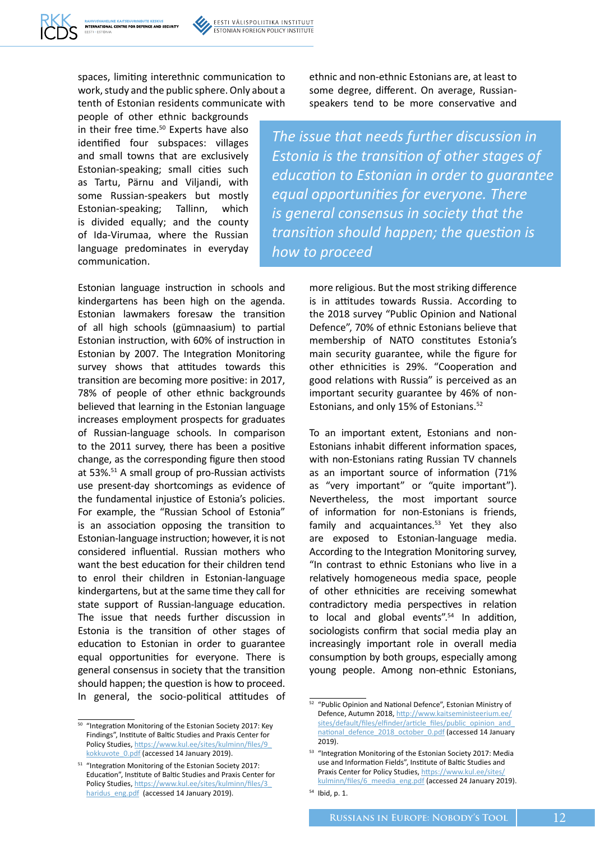spaces, limiting interethnic communication to work, study and the public sphere. Only about a tenth of Estonian residents communicate with

people of other ethnic backgrounds in their free time.<sup>50</sup> Experts have also identified four subspaces: villages and small towns that are exclusively Estonian-speaking; small cities such as Tartu, Pärnu and Viljandi, with some Russian-speakers but mostly Estonian-speaking; Tallinn, which is divided equally; and the county of Ida-Virumaa, where the Russian language predominates in everyday communication.

Estonian language instruction in schools and kindergartens has been high on the agenda. Estonian lawmakers foresaw the transition of all high schools (gümnaasium) to partial Estonian instruction, with 60% of instruction in Estonian by 2007. The Integration Monitoring survey shows that attitudes towards this transition are becoming more positive: in 2017, 78% of people of other ethnic backgrounds believed that learning in the Estonian language increases employment prospects for graduates of Russian-language schools. In comparison to the 2011 survey, there has been a positive change, as the corresponding figure then stood at 53%.51 A small group of pro-Russian activists use present-day shortcomings as evidence of the fundamental injustice of Estonia's policies. For example, the "Russian School of Estonia" is an association opposing the transition to Estonian-language instruction; however, it is not considered influential. Russian mothers who want the best education for their children tend to enrol their children in Estonian-language kindergartens, but at the same time they call for state support of Russian-language education. The issue that needs further discussion in Estonia is the transition of other stages of education to Estonian in order to guarantee equal opportunities for everyone. There is general consensus in society that the transition should happen; the question is how to proceed. In general, the socio-political attitudes of ethnic and non-ethnic Estonians are, at least to some degree, different. On average, Russianspeakers tend to be more conservative and

*The issue that needs further discussion in Estonia is the transition of other stages of education to Estonian in order to guarantee equal opportunities for everyone. There is general consensus in society that the transition should happen; the question is how to proceed*

> more religious. But the most striking difference is in attitudes towards Russia. According to the 2018 survey "Public Opinion and National Defence", 70% of ethnic Estonians believe that membership of NATO constitutes Estonia's main security guarantee, while the figure for other ethnicities is 29%. "Cooperation and good relations with Russia" is perceived as an important security guarantee by 46% of non-Estonians, and only 15% of Estonians.52

> To an important extent, Estonians and non-Estonians inhabit different information spaces, with non-Estonians rating Russian TV channels as an important source of information (71% as "very important" or "quite important"). Nevertheless, the most important source of information for non-Estonians is friends, family and acquaintances. $53$  Yet they also are exposed to Estonian-language media. According to the Integration Monitoring survey, "In contrast to ethnic Estonians who live in a relatively homogeneous media space, people of other ethnicities are receiving somewhat contradictory media perspectives in relation to local and global events".<sup>54</sup> In addition, sociologists confirm that social media play an increasingly important role in overall media consumption by both groups, especially among young people. Among non-ethnic Estonians,

<sup>50 &</sup>quot;Integration Monitoring of the Estonian Society 2017: Key Findings", Institute of Baltic Studies and Praxis Center for [Policy Studies, https://www.kul.ee/sites/kulminn/files/9\\_](https://www.kul.ee/sites/kulminn/files/9_kokkuvote_0.pdf) kokkuvote\_0.pdf (accessed 14 January 2019).

<sup>&</sup>lt;sup>51</sup> "Integration Monitoring of the Estonian Society 2017: Education", Institute of Baltic Studies and Praxis Center for [Policy Studies, https://www.kul.ee/sites/kulminn/files/3\\_](https://www.kul.ee/sites/kulminn/files/3_haridus_eng.pdf) haridus\_eng.pdf (accessed 14 January 2019).

<sup>52</sup> "Public Opinion and National Defence", Estonian Ministry of Defence, Autumn 2018, [http://www.kaitseministeerium.ee/](http://www.kaitseministeerium.ee/sites/default/files/elfinder/article_files/public_opinion_and_national_defence_2018_october_0.pdf) sites/default/files/elfinder/article\_files/public\_opinion\_and [national\\_defence\\_2018\\_october\\_0.pdf](http://www.kaitseministeerium.ee/sites/default/files/elfinder/article_files/public_opinion_and_national_defence_2018_october_0.pdf) (accessed 14 January 2019).

<sup>53 &</sup>quot;Integration Monitoring of the Estonian Society 2017: Media use and Information Fields", Institute of Baltic Studies and Praxis Center for Policy Studies, [https://www.kul.ee/sites/](https://www.kul.ee/sites/kulminn/files/6_meedia_eng.pdf) [kulminn/files/6\\_meedia\\_eng.pdf](https://www.kul.ee/sites/kulminn/files/6_meedia_eng.pdf) (accessed 24 January 2019).

<sup>54</sup> Ibid, p. 1.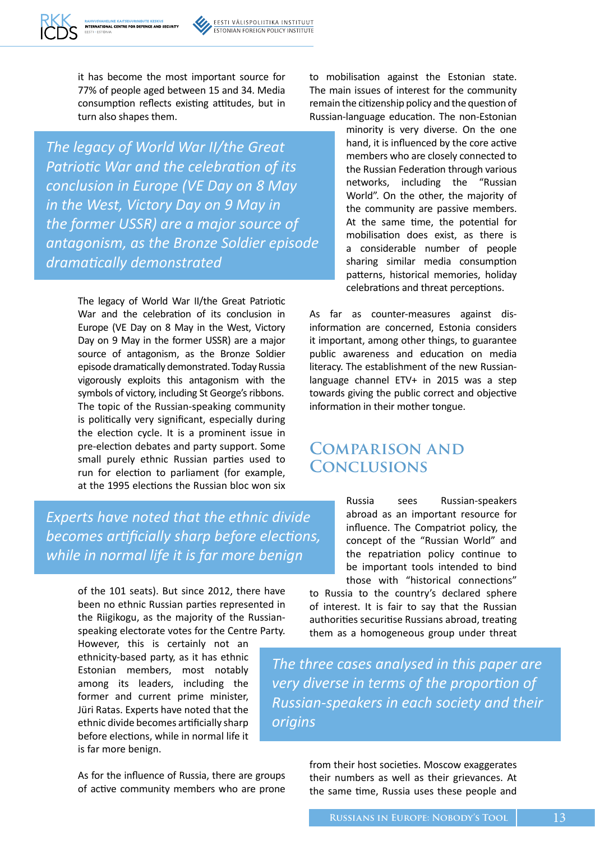

it has become the most important source for 77% of people aged between 15 and 34. Media consumption reflects existing attitudes, but in turn also shapes them.

*The legacy of World War II/the Great Patriotic War and the celebration of its conclusion in Europe (VE Day on 8 May in the West, Victory Day on 9 May in the former USSR) are a major source of antagonism, as the Bronze Soldier episode dramatically demonstrated*

> The legacy of World War II/the Great Patriotic War and the celebration of its conclusion in Europe (VE Day on 8 May in the West, Victory Day on 9 May in the former USSR) are a major source of antagonism, as the Bronze Soldier episode dramatically demonstrated. Today Russia vigorously exploits this antagonism with the symbols of victory, including St George's ribbons. The topic of the Russian-speaking community is politically very significant, especially during the election cycle. It is a prominent issue in pre-election debates and party support. Some small purely ethnic Russian parties used to run for election to parliament (for example, at the 1995 elections the Russian bloc won six

*Experts have noted that the ethnic divide becomes artificially sharp before elections, while in normal life it is far more benign*

> of the 101 seats). But since 2012, there have been no ethnic Russian parties represented in the Riigikogu, as the majority of the Russianspeaking electorate votes for the Centre Party.

However, this is certainly not an ethnicity-based party, as it has ethnic Estonian members, most notably among its leaders, including the former and current prime minister, Jüri Ratas. Experts have noted that the ethnic divide becomes artificially sharp before elections, while in normal life it is far more benign.

As for the influence of Russia, there are groups of active community members who are prone to mobilisation against the Estonian state. The main issues of interest for the community remain the citizenship policy and the question of Russian-language education. The non-Estonian

> minority is very diverse. On the one hand, it is influenced by the core active members who are closely connected to the Russian Federation through various networks, including the "Russian World". On the other, the majority of the community are passive members. At the same time, the potential for mobilisation does exist, as there is a considerable number of people sharing similar media consumption patterns, historical memories, holiday celebrations and threat perceptions.

As far as counter-measures against disinformation are concerned, Estonia considers it important, among other things, to guarantee public awareness and education on media literacy. The establishment of the new Russianlanguage channel ETV+ in 2015 was a step towards giving the public correct and objective information in their mother tongue.

### **Comparison and Conclusions**

Russia sees Russian-speakers abroad as an important resource for influence. The Compatriot policy, the concept of the "Russian World" and the repatriation policy continue to be important tools intended to bind those with "historical connections"

to Russia to the country's declared sphere of interest. It is fair to say that the Russian authorities securitise Russians abroad, treating them as a homogeneous group under threat

*The three cases analysed in this paper are very diverse in terms of the proportion of Russian-speakers in each society and their origins*

> from their host societies. Moscow exaggerates their numbers as well as their grievances. At the same time, Russia uses these people and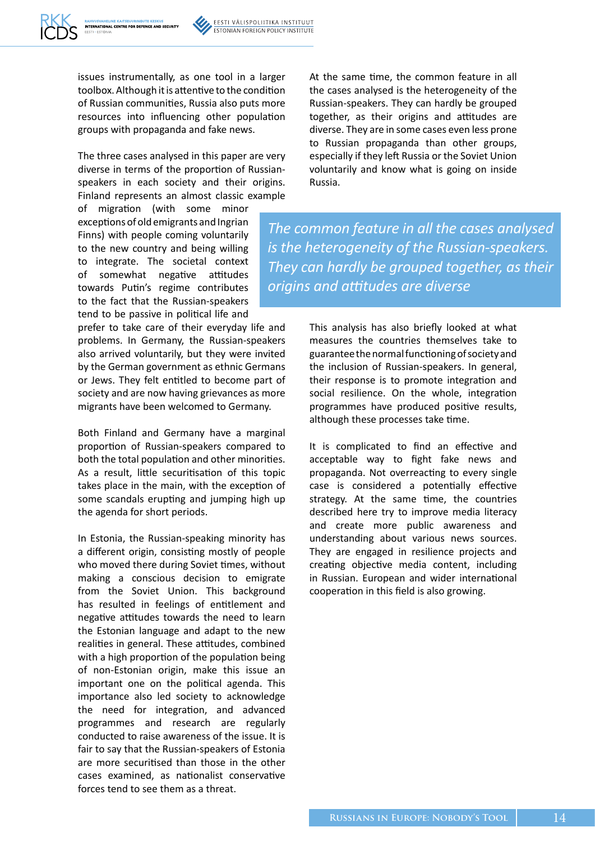issues instrumentally, as one tool in a larger toolbox. Although it is attentive to the condition of Russian communities, Russia also puts more resources into influencing other population groups with propaganda and fake news.

The three cases analysed in this paper are very diverse in terms of the proportion of Russianspeakers in each society and their origins. Finland represents an almost classic example

of migration (with some minor exceptions of old emigrants and Ingrian Finns) with people coming voluntarily to the new country and being willing to integrate. The societal context of somewhat negative attitudes towards Putin's regime contributes to the fact that the Russian-speakers tend to be passive in political life and

prefer to take care of their everyday life and problems. In Germany, the Russian-speakers also arrived voluntarily, but they were invited by the German government as ethnic Germans or Jews. They felt entitled to become part of society and are now having grievances as more migrants have been welcomed to Germany.

Both Finland and Germany have a marginal proportion of Russian-speakers compared to both the total population and other minorities. As a result, little securitisation of this topic takes place in the main, with the exception of some scandals erupting and jumping high up the agenda for short periods.

In Estonia, the Russian-speaking minority has a different origin, consisting mostly of people who moved there during Soviet times, without making a conscious decision to emigrate from the Soviet Union. This background has resulted in feelings of entitlement and negative attitudes towards the need to learn the Estonian language and adapt to the new realities in general. These attitudes, combined with a high proportion of the population being of non-Estonian origin, make this issue an important one on the political agenda. This importance also led society to acknowledge the need for integration, and advanced programmes and research are regularly conducted to raise awareness of the issue. It is fair to say that the Russian-speakers of Estonia are more securitised than those in the other cases examined, as nationalist conservative forces tend to see them as a threat.

At the same time, the common feature in all the cases analysed is the heterogeneity of the Russian-speakers. They can hardly be grouped together, as their origins and attitudes are diverse. They are in some cases even less prone to Russian propaganda than other groups, especially if they left Russia or the Soviet Union voluntarily and know what is going on inside Russia.

*The common feature in all the cases analysed is the heterogeneity of the Russian-speakers. They can hardly be grouped together, as their origins and attitudes are diverse*

> This analysis has also briefly looked at what measures the countries themselves take to guarantee the normal functioning of society and the inclusion of Russian-speakers. In general, their response is to promote integration and social resilience. On the whole, integration programmes have produced positive results, although these processes take time.

> It is complicated to find an effective and acceptable way to fight fake news and propaganda. Not overreacting to every single case is considered a potentially effective strategy. At the same time, the countries described here try to improve media literacy and create more public awareness and understanding about various news sources. They are engaged in resilience projects and creating objective media content, including in Russian. European and wider international cooperation in this field is also growing.